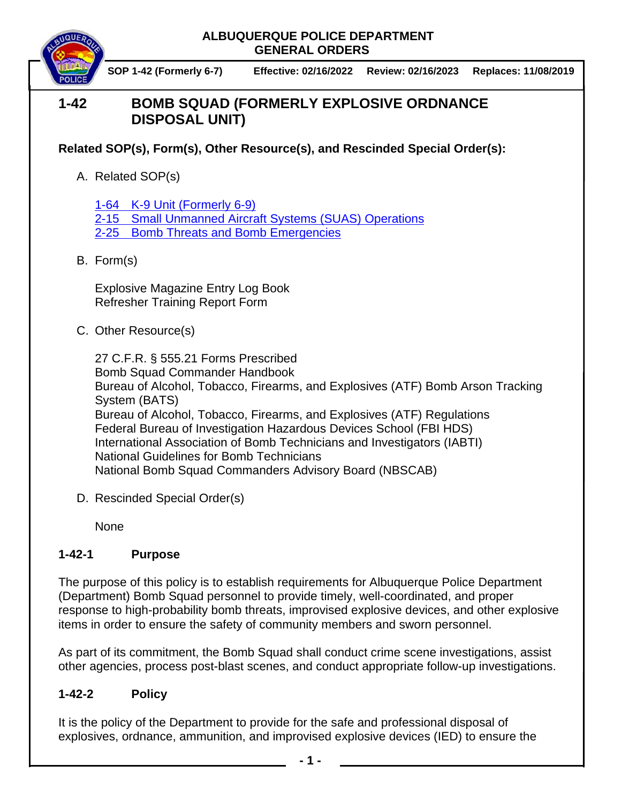#### **ALBUQUERQUE POLICE DEPARTMENT GENERAL ORDERS**

**SOP 1-42 (Formerly 6-7) Effective: 02/16/2022 Review: 02/16/2023 Replaces: 11/08/2019**

# **1-42 BOMB SQUAD (FORMERLY EXPLOSIVE ORDNANCE DISPOSAL UNIT)**

**Related SOP(s), Form(s), Other Resource(s), and Rescinded Special Order(s):** 

A. Related SOP(s)

1-64 [K-9 Unit \(Formerly 6-9\)](https://powerdms.com/docs/960) 2-15 [Small Unmanned Aircraft Systems \(SUAS\) Operations](https://powerdms.com/docs/1853984) 2-25 Bomb Threats and [Bomb Emergencies](https://powerdms.com/docs/52)

B. Form(s)

Explosive Magazine Entry Log Book Refresher Training Report Form

C. Other Resource(s)

27 C.F.R. § 555.21 Forms Prescribed Bomb Squad Commander Handbook Bureau of Alcohol, Tobacco, Firearms, and Explosives (ATF) Bomb Arson Tracking System (BATS) Bureau of Alcohol, Tobacco, Firearms, and Explosives (ATF) Regulations Federal Bureau of Investigation Hazardous Devices School (FBI HDS) International Association of Bomb Technicians and Investigators (IABTI) National Guidelines for Bomb Technicians National Bomb Squad Commanders Advisory Board (NBSCAB)

D. Rescinded Special Order(s)

None

## **1-42-1 Purpose**

The purpose of this policy is to establish requirements for Albuquerque Police Department (Department) Bomb Squad personnel to provide timely, well-coordinated, and proper response to high-probability bomb threats, improvised explosive devices, and other explosive items in order to ensure the safety of community members and sworn personnel.

As part of its commitment, the Bomb Squad shall conduct crime scene investigations, assist other agencies, process post-blast scenes, and conduct appropriate follow-up investigations.

## **1-42-2 Policy**

It is the policy of the Department to provide for the safe and professional disposal of explosives, ordnance, ammunition, and improvised explosive devices (IED) to ensure the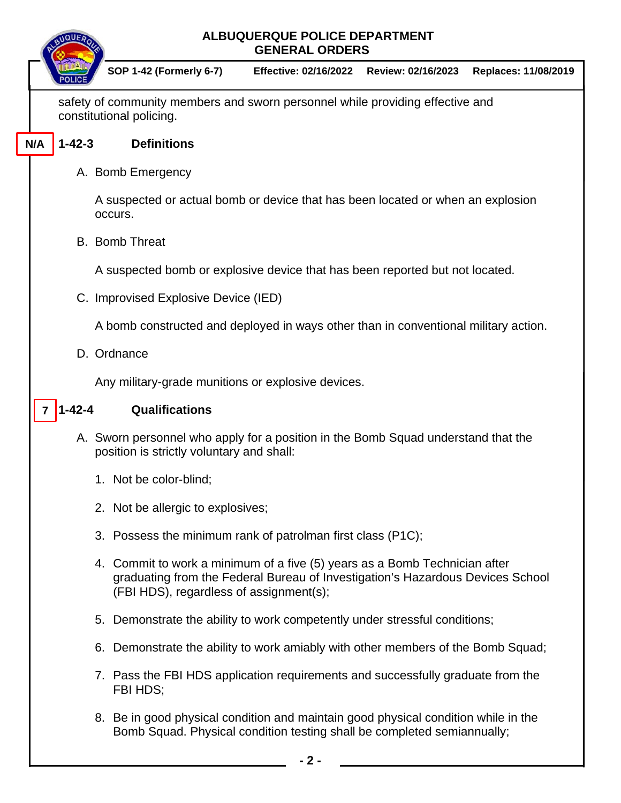|     | QUE          |                                                                                                                                                                                                         | <b>ALBUQUERQUE POLICE DEPARTMENT</b><br><b>GENERAL ORDERS</b> |                    |                      |
|-----|--------------|---------------------------------------------------------------------------------------------------------------------------------------------------------------------------------------------------------|---------------------------------------------------------------|--------------------|----------------------|
|     |              | <b>SOP 1-42 (Formerly 6-7)</b>                                                                                                                                                                          | <b>Effective: 02/16/2022</b>                                  | Review: 02/16/2023 | Replaces: 11/08/2019 |
|     |              | safety of community members and sworn personnel while providing effective and<br>constitutional policing.                                                                                               |                                                               |                    |                      |
| N/A | $1 - 42 - 3$ | <b>Definitions</b>                                                                                                                                                                                      |                                                               |                    |                      |
|     |              | A. Bomb Emergency                                                                                                                                                                                       |                                                               |                    |                      |
|     |              | A suspected or actual bomb or device that has been located or when an explosion<br>occurs.                                                                                                              |                                                               |                    |                      |
|     |              | <b>B.</b> Bomb Threat                                                                                                                                                                                   |                                                               |                    |                      |
|     |              | A suspected bomb or explosive device that has been reported but not located.                                                                                                                            |                                                               |                    |                      |
|     |              | C. Improvised Explosive Device (IED)                                                                                                                                                                    |                                                               |                    |                      |
|     |              | A bomb constructed and deployed in ways other than in conventional military action.                                                                                                                     |                                                               |                    |                      |
|     |              | D. Ordnance                                                                                                                                                                                             |                                                               |                    |                      |
|     |              | Any military-grade munitions or explosive devices.                                                                                                                                                      |                                                               |                    |                      |
|     | $1 - 42 - 4$ | Qualifications                                                                                                                                                                                          |                                                               |                    |                      |
|     |              | A. Sworn personnel who apply for a position in the Bomb Squad understand that the<br>position is strictly voluntary and shall:                                                                          |                                                               |                    |                      |
|     |              | 1. Not be color-blind;                                                                                                                                                                                  |                                                               |                    |                      |
|     |              | 2. Not be allergic to explosives;                                                                                                                                                                       |                                                               |                    |                      |
|     |              | 3. Possess the minimum rank of patrolman first class (P1C);                                                                                                                                             |                                                               |                    |                      |
|     |              | 4. Commit to work a minimum of a five (5) years as a Bomb Technician after<br>graduating from the Federal Bureau of Investigation's Hazardous Devices School<br>(FBI HDS), regardless of assignment(s); |                                                               |                    |                      |
|     |              | 5. Demonstrate the ability to work competently under stressful conditions;                                                                                                                              |                                                               |                    |                      |
|     |              | 6. Demonstrate the ability to work amiably with other members of the Bomb Squad;                                                                                                                        |                                                               |                    |                      |
|     |              | 7. Pass the FBI HDS application requirements and successfully graduate from the<br>FBI HDS;                                                                                                             |                                                               |                    |                      |
|     |              | 8. Be in good physical condition and maintain good physical condition while in the<br>Bomb Squad. Physical condition testing shall be completed semiannually;                                           |                                                               |                    |                      |

 $\overline{\mathbb{L}}$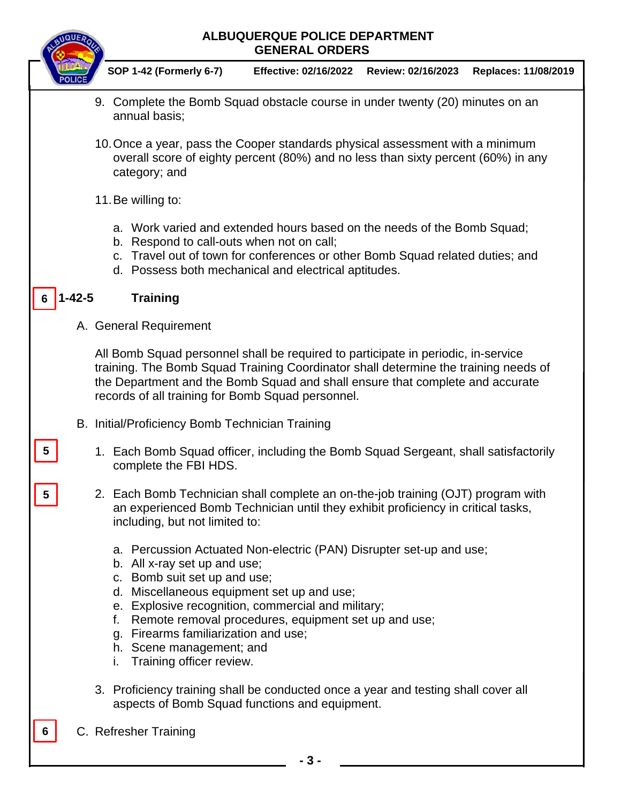

#### **ALBUQUERQUE POLICE DEPARTMENT GENERAL ORDERS**

**SOP 1-42 (Formerly 6-7) Effective: 02/16/2022 Review: 02/16/2023 Replaces: 11/08/2019**

- 9. Complete the Bomb Squad obstacle course in under twenty (20) minutes on an annual basis;
- 10.Once a year, pass the Cooper standards physical assessment with a minimum overall score of eighty percent (80%) and no less than sixty percent (60%) in any category; and
- 11.Be willing to:
	- a. Work varied and extended hours based on the needs of the Bomb Squad;
	- b. Respond to call-outs when not on call;
	- c. Travel out of town for conferences or other Bomb Squad related duties; and
	- d. Possess both mechanical and electrical aptitudes.

#### **1-42-5 Training 6**

**5**

**5**

**6**

A. General Requirement

All Bomb Squad personnel shall be required to participate in periodic, in-service training. The Bomb Squad Training Coordinator shall determine the training needs of the Department and the Bomb Squad and shall ensure that complete and accurate records of all training for Bomb Squad personnel.

- B. Initial/Proficiency Bomb Technician Training
	- 1. Each Bomb Squad officer, including the Bomb Squad Sergeant, shall satisfactorily complete the FBI HDS.
	- 2. Each Bomb Technician shall complete an on-the-job training (OJT) program with an experienced Bomb Technician until they exhibit proficiency in critical tasks, including, but not limited to:
		- a. Percussion Actuated Non-electric (PAN) Disrupter set-up and use;
		- b. All x-ray set up and use;
		- c. Bomb suit set up and use;
		- d. Miscellaneous equipment set up and use;
		- e. Explosive recognition, commercial and military;
		- f. Remote removal procedures, equipment set up and use;
		- g. Firearms familiarization and use;
		- h. Scene management; and
		- i. Training officer review.
	- 3. Proficiency training shall be conducted once a year and testing shall cover all aspects of Bomb Squad functions and equipment.
- C. Refresher Training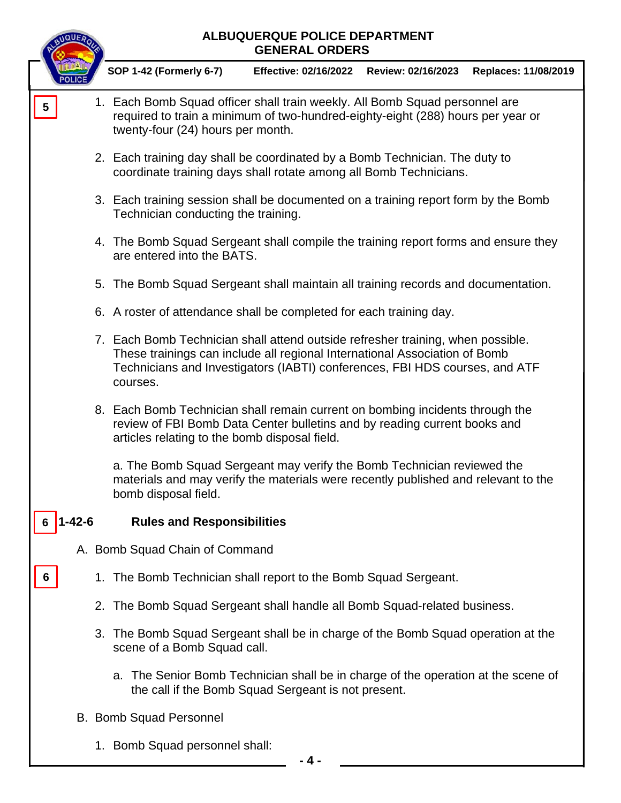|                         | UQUER  |    | ALBUQUERQUE POLICE DEPARTMENT<br><b>GENERAL ORDERS</b>                                                                                                                                                                                                   |                              |                    |                      |  |
|-------------------------|--------|----|----------------------------------------------------------------------------------------------------------------------------------------------------------------------------------------------------------------------------------------------------------|------------------------------|--------------------|----------------------|--|
|                         |        |    | <b>SOP 1-42 (Formerly 6-7)</b>                                                                                                                                                                                                                           | <b>Effective: 02/16/2022</b> | Review: 02/16/2023 | Replaces: 11/08/2019 |  |
| $\overline{\mathbf{5}}$ |        |    | 1. Each Bomb Squad officer shall train weekly. All Bomb Squad personnel are<br>required to train a minimum of two-hundred-eighty-eight (288) hours per year or<br>twenty-four (24) hours per month.                                                      |                              |                    |                      |  |
|                         |        |    | 2. Each training day shall be coordinated by a Bomb Technician. The duty to<br>coordinate training days shall rotate among all Bomb Technicians.                                                                                                         |                              |                    |                      |  |
|                         |        |    | 3. Each training session shall be documented on a training report form by the Bomb<br>Technician conducting the training.                                                                                                                                |                              |                    |                      |  |
|                         |        |    | 4. The Bomb Squad Sergeant shall compile the training report forms and ensure they<br>are entered into the BATS.                                                                                                                                         |                              |                    |                      |  |
|                         |        |    | 5. The Bomb Squad Sergeant shall maintain all training records and documentation.                                                                                                                                                                        |                              |                    |                      |  |
|                         |        |    | 6. A roster of attendance shall be completed for each training day.                                                                                                                                                                                      |                              |                    |                      |  |
|                         |        |    | 7. Each Bomb Technician shall attend outside refresher training, when possible.<br>These trainings can include all regional International Association of Bomb<br>Technicians and Investigators (IABTI) conferences, FBI HDS courses, and ATF<br>courses. |                              |                    |                      |  |
|                         |        |    | 8. Each Bomb Technician shall remain current on bombing incidents through the<br>review of FBI Bomb Data Center bulletins and by reading current books and<br>articles relating to the bomb disposal field.                                              |                              |                    |                      |  |
|                         |        |    | a. The Bomb Squad Sergeant may verify the Bomb Technician reviewed the<br>materials and may verify the materials were recently published and relevant to the<br>bomb disposal field.                                                                     |                              |                    |                      |  |
|                         | 1-42-6 |    | <b>Rules and Responsibilities</b>                                                                                                                                                                                                                        |                              |                    |                      |  |
|                         |        |    | A. Bomb Squad Chain of Command                                                                                                                                                                                                                           |                              |                    |                      |  |
| 6                       |        | 1. | The Bomb Technician shall report to the Bomb Squad Sergeant.                                                                                                                                                                                             |                              |                    |                      |  |
|                         |        |    | 2. The Bomb Squad Sergeant shall handle all Bomb Squad-related business.                                                                                                                                                                                 |                              |                    |                      |  |
|                         |        |    | 3. The Bomb Squad Sergeant shall be in charge of the Bomb Squad operation at the<br>scene of a Bomb Squad call.                                                                                                                                          |                              |                    |                      |  |
|                         |        |    | a. The Senior Bomb Technician shall be in charge of the operation at the scene of<br>the call if the Bomb Squad Sergeant is not present.                                                                                                                 |                              |                    |                      |  |
|                         |        |    | <b>B. Bomb Squad Personnel</b>                                                                                                                                                                                                                           |                              |                    |                      |  |

1. Bomb Squad personnel shall: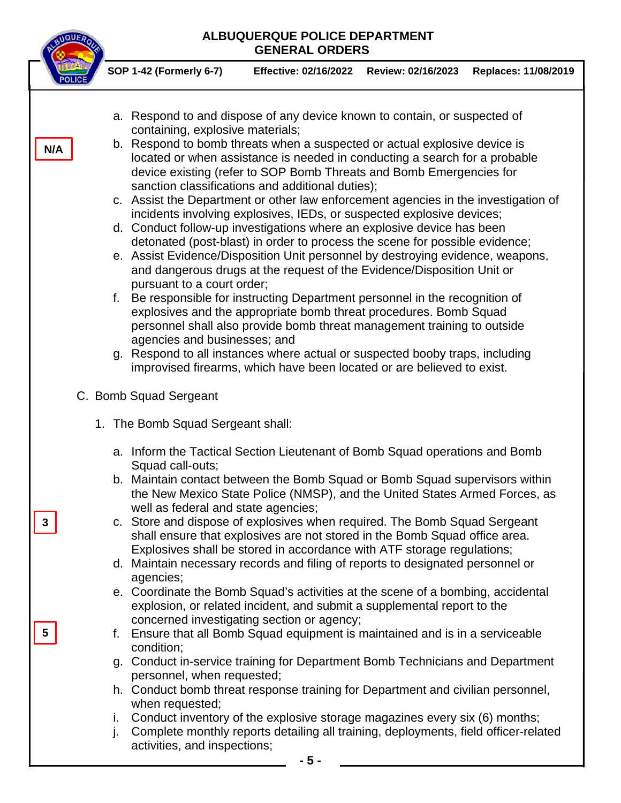|     | ALBUQUERQUE POLICE DEPARTMENT<br><b>GENERAL ORDERS</b>                                                                                                                                                                                                                                                                                                                                                                                                                                                                                                                                                                                                                                                                                                                                                                                                                                                                                                                                                                                                                                                                                                                                                                                                                                                                                                                                                                                    |  |
|-----|-------------------------------------------------------------------------------------------------------------------------------------------------------------------------------------------------------------------------------------------------------------------------------------------------------------------------------------------------------------------------------------------------------------------------------------------------------------------------------------------------------------------------------------------------------------------------------------------------------------------------------------------------------------------------------------------------------------------------------------------------------------------------------------------------------------------------------------------------------------------------------------------------------------------------------------------------------------------------------------------------------------------------------------------------------------------------------------------------------------------------------------------------------------------------------------------------------------------------------------------------------------------------------------------------------------------------------------------------------------------------------------------------------------------------------------------|--|
|     | <b>SOP 1-42 (Formerly 6-7)</b><br>Effective: 02/16/2022    Review: 02/16/2023<br>Replaces: 11/08/2019                                                                                                                                                                                                                                                                                                                                                                                                                                                                                                                                                                                                                                                                                                                                                                                                                                                                                                                                                                                                                                                                                                                                                                                                                                                                                                                                     |  |
| N/A | a. Respond to and dispose of any device known to contain, or suspected of<br>containing, explosive materials;<br>b. Respond to bomb threats when a suspected or actual explosive device is<br>located or when assistance is needed in conducting a search for a probable<br>device existing (refer to SOP Bomb Threats and Bomb Emergencies for<br>sanction classifications and additional duties);<br>c. Assist the Department or other law enforcement agencies in the investigation of<br>incidents involving explosives, IEDs, or suspected explosive devices;<br>d. Conduct follow-up investigations where an explosive device has been<br>detonated (post-blast) in order to process the scene for possible evidence;<br>e. Assist Evidence/Disposition Unit personnel by destroying evidence, weapons,<br>and dangerous drugs at the request of the Evidence/Disposition Unit or<br>pursuant to a court order;<br>Be responsible for instructing Department personnel in the recognition of<br>f.<br>explosives and the appropriate bomb threat procedures. Bomb Squad<br>personnel shall also provide bomb threat management training to outside<br>agencies and businesses; and<br>g. Respond to all instances where actual or suspected booby traps, including<br>improvised firearms, which have been located or are believed to exist.                                                                                        |  |
|     | C. Bomb Squad Sergeant                                                                                                                                                                                                                                                                                                                                                                                                                                                                                                                                                                                                                                                                                                                                                                                                                                                                                                                                                                                                                                                                                                                                                                                                                                                                                                                                                                                                                    |  |
| 3   | 1. The Bomb Squad Sergeant shall:<br>a. Inform the Tactical Section Lieutenant of Bomb Squad operations and Bomb<br>Squad call-outs;<br>b. Maintain contact between the Bomb Squad or Bomb Squad supervisors within<br>the New Mexico State Police (NMSP), and the United States Armed Forces, as<br>well as federal and state agencies;<br>c. Store and dispose of explosives when required. The Bomb Squad Sergeant<br>shall ensure that explosives are not stored in the Bomb Squad office area.<br>Explosives shall be stored in accordance with ATF storage regulations;<br>d. Maintain necessary records and filing of reports to designated personnel or<br>agencies;<br>e. Coordinate the Bomb Squad's activities at the scene of a bombing, accidental<br>explosion, or related incident, and submit a supplemental report to the<br>concerned investigating section or agency;<br>Ensure that all Bomb Squad equipment is maintained and is in a serviceable<br>f.<br>condition;<br>g. Conduct in-service training for Department Bomb Technicians and Department<br>personnel, when requested;<br>h. Conduct bomb threat response training for Department and civilian personnel,<br>when requested;<br>Conduct inventory of the explosive storage magazines every six (6) months;<br>i.<br>j.<br>Complete monthly reports detailing all training, deployments, field officer-related<br>activities, and inspections;<br>- 5 - |  |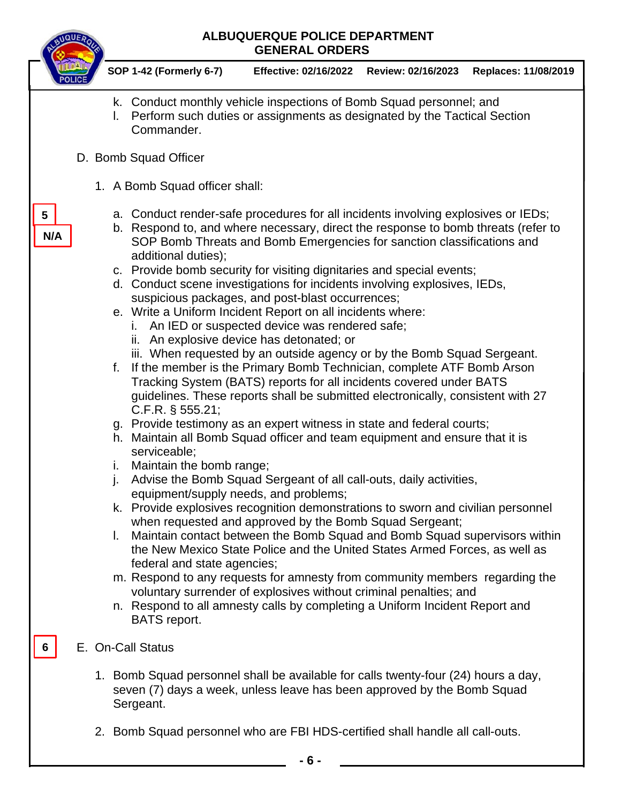## **ALBUQUERQUE POLICE DEPARTMENT GENERAL ORDERS SOP 1-42 (Formerly 6-7) Effective: 02/16/2022 Review: 02/16/2023 Replaces: 11/08/2019** k. Conduct monthly vehicle inspections of Bomb Squad personnel; and l. Perform such duties or assignments as designated by the Tactical Section Commander. D. Bomb Squad Officer 1. A Bomb Squad officer shall: a. Conduct render-safe procedures for all incidents involving explosives or IEDs; b. Respond to, and where necessary, direct the response to bomb threats (refer to SOP Bomb Threats and Bomb Emergencies for sanction classifications and additional duties); c. Provide bomb security for visiting dignitaries and special events; d. Conduct scene investigations for incidents involving explosives, IEDs, suspicious packages, and post-blast occurrences; e. Write a Uniform Incident Report on all incidents where: i. An IED or suspected device was rendered safe; ii. An explosive device has detonated; or iii. When requested by an outside agency or by the Bomb Squad Sergeant. f. If the member is the Primary Bomb Technician, complete ATF Bomb Arson Tracking System (BATS) reports for all incidents covered under BATS guidelines. These reports shall be submitted electronically, consistent with 27 C.F.R. § 555.21; g. Provide testimony as an expert witness in state and federal courts; h. Maintain all Bomb Squad officer and team equipment and ensure that it is serviceable; i. Maintain the bomb range; j. Advise the Bomb Squad Sergeant of all call-outs, daily activities, equipment/supply needs, and problems; k. Provide explosives recognition demonstrations to sworn and civilian personnel when requested and approved by the Bomb Squad Sergeant; l. Maintain contact between the Bomb Squad and Bomb Squad supervisors within the New Mexico State Police and the United States Armed Forces, as well as federal and state agencies; m. Respond to any requests for amnesty from community members regarding the voluntary surrender of explosives without criminal penalties; and n. Respond to all amnesty calls by completing a Uniform Incident Report and BATS report. E. On-Call Status 1. Bomb Squad personnel shall be available for calls twenty-four (24) hours a day, seven (7) days a week, unless leave has been approved by the Bomb Squad Sergeant. 2. Bomb Squad personnel who are FBI HDS-certified shall handle all call-outs. **5 6 N/A**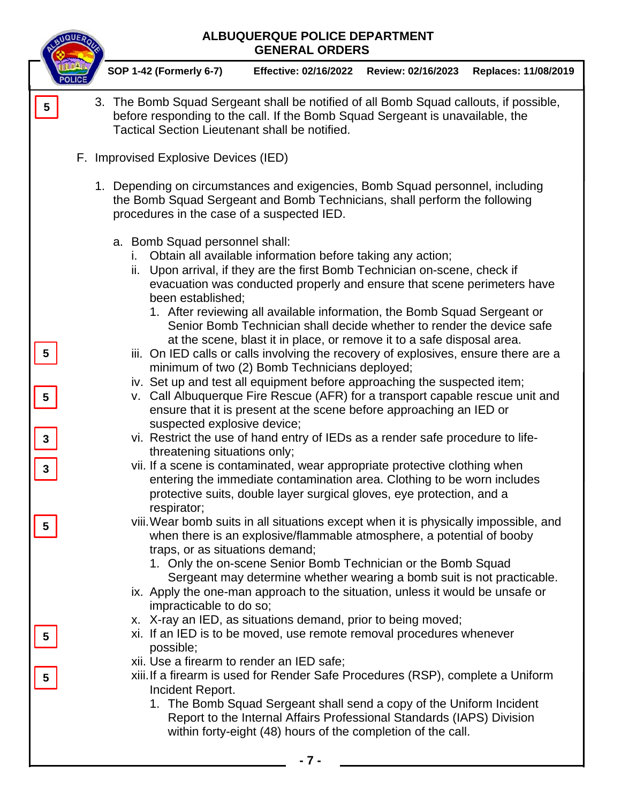|                              | ALBUQUERQUE POLICE DEPARTMENT<br><b>GENERAL ORDERS</b>                                                                                                                                                                                                                                                                                                                                                                                                                                                                                                                                                                                                                                                                                                                                                               |
|------------------------------|----------------------------------------------------------------------------------------------------------------------------------------------------------------------------------------------------------------------------------------------------------------------------------------------------------------------------------------------------------------------------------------------------------------------------------------------------------------------------------------------------------------------------------------------------------------------------------------------------------------------------------------------------------------------------------------------------------------------------------------------------------------------------------------------------------------------|
|                              | SOP 1-42 (Formerly 6-7)<br><b>Effective: 02/16/2022</b><br>Review: 02/16/2023<br>Replaces: 11/08/2019                                                                                                                                                                                                                                                                                                                                                                                                                                                                                                                                                                                                                                                                                                                |
| 5                            | 3. The Bomb Squad Sergeant shall be notified of all Bomb Squad callouts, if possible,<br>before responding to the call. If the Bomb Squad Sergeant is unavailable, the<br>Tactical Section Lieutenant shall be notified.                                                                                                                                                                                                                                                                                                                                                                                                                                                                                                                                                                                             |
|                              | F. Improvised Explosive Devices (IED)                                                                                                                                                                                                                                                                                                                                                                                                                                                                                                                                                                                                                                                                                                                                                                                |
|                              | 1. Depending on circumstances and exigencies, Bomb Squad personnel, including<br>the Bomb Squad Sergeant and Bomb Technicians, shall perform the following<br>procedures in the case of a suspected IED.                                                                                                                                                                                                                                                                                                                                                                                                                                                                                                                                                                                                             |
| 5                            | a. Bomb Squad personnel shall:<br>Obtain all available information before taking any action;<br>İ.<br>ii. Upon arrival, if they are the first Bomb Technician on-scene, check if<br>evacuation was conducted properly and ensure that scene perimeters have<br>been established:<br>1. After reviewing all available information, the Bomb Squad Sergeant or<br>Senior Bomb Technician shall decide whether to render the device safe<br>at the scene, blast it in place, or remove it to a safe disposal area.<br>iii. On IED calls or calls involving the recovery of explosives, ensure there are a<br>minimum of two (2) Bomb Technicians deployed;<br>iv. Set up and test all equipment before approaching the suspected item;<br>v. Call Albuquerque Fire Rescue (AFR) for a transport capable rescue unit and |
|                              | ensure that it is present at the scene before approaching an IED or<br>suspected explosive device;<br>vi. Restrict the use of hand entry of IEDs as a render safe procedure to life-                                                                                                                                                                                                                                                                                                                                                                                                                                                                                                                                                                                                                                 |
| $\mathbf{3}$<br>$\mathbf{3}$ | threatening situations only;<br>vii. If a scene is contaminated, wear appropriate protective clothing when<br>entering the immediate contamination area. Clothing to be worn includes<br>protective suits, double layer surgical gloves, eye protection, and a<br>respirator;                                                                                                                                                                                                                                                                                                                                                                                                                                                                                                                                        |
| 5                            | viii. Wear bomb suits in all situations except when it is physically impossible, and<br>when there is an explosive/flammable atmosphere, a potential of booby<br>traps, or as situations demand;<br>1. Only the on-scene Senior Bomb Technician or the Bomb Squad<br>Sergeant may determine whether wearing a bomb suit is not practicable.<br>ix. Apply the one-man approach to the situation, unless it would be unsafe or<br>impracticable to do so;                                                                                                                                                                                                                                                                                                                                                              |
|                              | x. X-ray an IED, as situations demand, prior to being moved;<br>xi. If an IED is to be moved, use remote removal procedures whenever<br>possible;<br>xii. Use a firearm to render an IED safe;<br>xiii. If a firearm is used for Render Safe Procedures (RSP), complete a Uniform<br>Incident Report.<br>1. The Bomb Squad Sergeant shall send a copy of the Uniform Incident<br>Report to the Internal Affairs Professional Standards (IAPS) Division<br>within forty-eight (48) hours of the completion of the call.                                                                                                                                                                                                                                                                                               |
|                              | - 7 -                                                                                                                                                                                                                                                                                                                                                                                                                                                                                                                                                                                                                                                                                                                                                                                                                |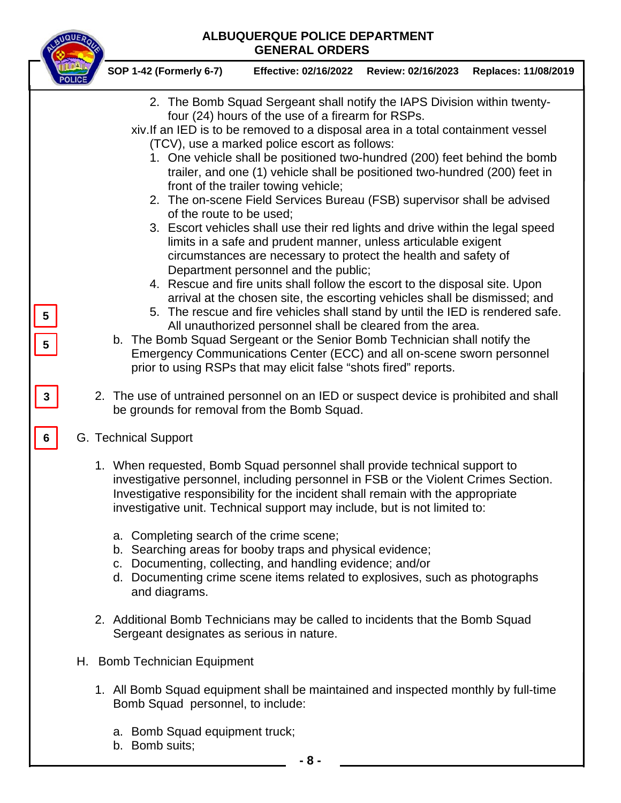### **ALBUQUERQUE POLICE DEPARTMENT GENERAL ORDERS**

|                              | ALBUQUERQUE POLICE DEPARTMENT<br><b>GENERAL ORDERS</b>                                                                                                                                                                                                                                                                                                                                                                                                                                                                                                                                                                                                                                                                                                                                                                                                                                                                                                                                                                                                                                                                                                                                                                                                                                                                                                                               |
|------------------------------|--------------------------------------------------------------------------------------------------------------------------------------------------------------------------------------------------------------------------------------------------------------------------------------------------------------------------------------------------------------------------------------------------------------------------------------------------------------------------------------------------------------------------------------------------------------------------------------------------------------------------------------------------------------------------------------------------------------------------------------------------------------------------------------------------------------------------------------------------------------------------------------------------------------------------------------------------------------------------------------------------------------------------------------------------------------------------------------------------------------------------------------------------------------------------------------------------------------------------------------------------------------------------------------------------------------------------------------------------------------------------------------|
|                              | SOP 1-42 (Formerly 6-7)<br>Effective: 02/16/2022    Review: 02/16/2023<br>Replaces: 11/08/2019                                                                                                                                                                                                                                                                                                                                                                                                                                                                                                                                                                                                                                                                                                                                                                                                                                                                                                                                                                                                                                                                                                                                                                                                                                                                                       |
| $\overline{\mathbf{5}}$<br>5 | 2. The Bomb Squad Sergeant shall notify the IAPS Division within twenty-<br>four (24) hours of the use of a firearm for RSPs.<br>xiv. If an IED is to be removed to a disposal area in a total containment vessel<br>(TCV), use a marked police escort as follows:<br>1. One vehicle shall be positioned two-hundred (200) feet behind the bomb<br>trailer, and one (1) vehicle shall be positioned two-hundred (200) feet in<br>front of the trailer towing vehicle;<br>2. The on-scene Field Services Bureau (FSB) supervisor shall be advised<br>of the route to be used;<br>3. Escort vehicles shall use their red lights and drive within the legal speed<br>limits in a safe and prudent manner, unless articulable exigent<br>circumstances are necessary to protect the health and safety of<br>Department personnel and the public;<br>4. Rescue and fire units shall follow the escort to the disposal site. Upon<br>arrival at the chosen site, the escorting vehicles shall be dismissed; and<br>5. The rescue and fire vehicles shall stand by until the IED is rendered safe.<br>All unauthorized personnel shall be cleared from the area.<br>b. The Bomb Squad Sergeant or the Senior Bomb Technician shall notify the<br>Emergency Communications Center (ECC) and all on-scene sworn personnel<br>prior to using RSPs that may elicit false "shots fired" reports. |
| $\mathbf{3}$                 | 2. The use of untrained personnel on an IED or suspect device is prohibited and shall<br>be grounds for removal from the Bomb Squad.                                                                                                                                                                                                                                                                                                                                                                                                                                                                                                                                                                                                                                                                                                                                                                                                                                                                                                                                                                                                                                                                                                                                                                                                                                                 |
| 6                            | G. Technical Support                                                                                                                                                                                                                                                                                                                                                                                                                                                                                                                                                                                                                                                                                                                                                                                                                                                                                                                                                                                                                                                                                                                                                                                                                                                                                                                                                                 |
|                              | 1. When requested, Bomb Squad personnel shall provide technical support to<br>investigative personnel, including personnel in FSB or the Violent Crimes Section.<br>Investigative responsibility for the incident shall remain with the appropriate<br>investigative unit. Technical support may include, but is not limited to:<br>a. Completing search of the crime scene;                                                                                                                                                                                                                                                                                                                                                                                                                                                                                                                                                                                                                                                                                                                                                                                                                                                                                                                                                                                                         |
|                              | b. Searching areas for booby traps and physical evidence;<br>c. Documenting, collecting, and handling evidence; and/or<br>d. Documenting crime scene items related to explosives, such as photographs<br>and diagrams.                                                                                                                                                                                                                                                                                                                                                                                                                                                                                                                                                                                                                                                                                                                                                                                                                                                                                                                                                                                                                                                                                                                                                               |
|                              | 2. Additional Bomb Technicians may be called to incidents that the Bomb Squad<br>Sergeant designates as serious in nature.                                                                                                                                                                                                                                                                                                                                                                                                                                                                                                                                                                                                                                                                                                                                                                                                                                                                                                                                                                                                                                                                                                                                                                                                                                                           |
|                              | H. Bomb Technician Equipment                                                                                                                                                                                                                                                                                                                                                                                                                                                                                                                                                                                                                                                                                                                                                                                                                                                                                                                                                                                                                                                                                                                                                                                                                                                                                                                                                         |
|                              | 1. All Bomb Squad equipment shall be maintained and inspected monthly by full-time<br>Bomb Squad personnel, to include:                                                                                                                                                                                                                                                                                                                                                                                                                                                                                                                                                                                                                                                                                                                                                                                                                                                                                                                                                                                                                                                                                                                                                                                                                                                              |
|                              | a. Bomb Squad equipment truck;<br>b. Bomb suits;                                                                                                                                                                                                                                                                                                                                                                                                                                                                                                                                                                                                                                                                                                                                                                                                                                                                                                                                                                                                                                                                                                                                                                                                                                                                                                                                     |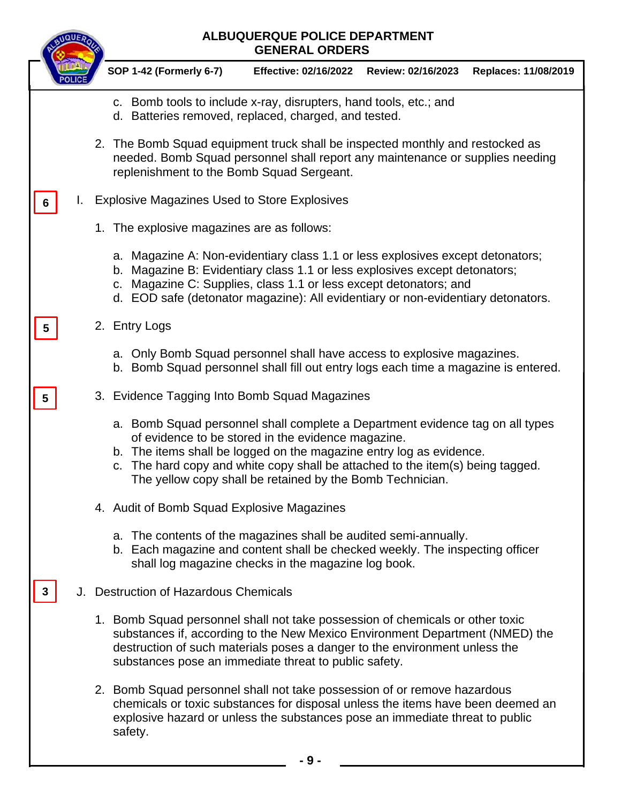|   |    | <b>ALBUQUERQUE POLICE DEPARTMENT</b><br><b>GENERAL ORDERS</b>                                                                                                                                                                                                                                                                                                |  |  |
|---|----|--------------------------------------------------------------------------------------------------------------------------------------------------------------------------------------------------------------------------------------------------------------------------------------------------------------------------------------------------------------|--|--|
|   |    | <b>SOP 1-42 (Formerly 6-7)</b><br><b>Effective: 02/16/2022</b><br>Review: 02/16/2023<br>Replaces: 11/08/2019                                                                                                                                                                                                                                                 |  |  |
|   |    | c. Bomb tools to include x-ray, disrupters, hand tools, etc.; and<br>d. Batteries removed, replaced, charged, and tested.                                                                                                                                                                                                                                    |  |  |
|   |    | 2. The Bomb Squad equipment truck shall be inspected monthly and restocked as<br>needed. Bomb Squad personnel shall report any maintenance or supplies needing<br>replenishment to the Bomb Squad Sergeant.                                                                                                                                                  |  |  |
| 6 | L. | <b>Explosive Magazines Used to Store Explosives</b>                                                                                                                                                                                                                                                                                                          |  |  |
|   |    | 1. The explosive magazines are as follows:                                                                                                                                                                                                                                                                                                                   |  |  |
|   |    | a. Magazine A: Non-evidentiary class 1.1 or less explosives except detonators;<br>Magazine B: Evidentiary class 1.1 or less explosives except detonators;<br>b.<br>Magazine C: Supplies, class 1.1 or less except detonators; and<br>C.<br>d. EOD safe (detonator magazine): All evidentiary or non-evidentiary detonators.                                  |  |  |
| 5 |    | 2. Entry Logs                                                                                                                                                                                                                                                                                                                                                |  |  |
|   |    | a. Only Bomb Squad personnel shall have access to explosive magazines.<br>b. Bomb Squad personnel shall fill out entry logs each time a magazine is entered.                                                                                                                                                                                                 |  |  |
| 5 |    | 3. Evidence Tagging Into Bomb Squad Magazines                                                                                                                                                                                                                                                                                                                |  |  |
|   |    | a. Bomb Squad personnel shall complete a Department evidence tag on all types<br>of evidence to be stored in the evidence magazine.<br>b. The items shall be logged on the magazine entry log as evidence.<br>The hard copy and white copy shall be attached to the item(s) being tagged.<br>C.<br>The yellow copy shall be retained by the Bomb Technician. |  |  |
|   |    | 4. Audit of Bomb Squad Explosive Magazines                                                                                                                                                                                                                                                                                                                   |  |  |
|   |    | a. The contents of the magazines shall be audited semi-annually.<br>b. Each magazine and content shall be checked weekly. The inspecting officer<br>shall log magazine checks in the magazine log book.                                                                                                                                                      |  |  |
|   |    | J. Destruction of Hazardous Chemicals                                                                                                                                                                                                                                                                                                                        |  |  |
|   |    | 1. Bomb Squad personnel shall not take possession of chemicals or other toxic<br>substances if, according to the New Mexico Environment Department (NMED) the<br>destruction of such materials poses a danger to the environment unless the<br>substances pose an immediate threat to public safety.                                                         |  |  |
|   |    | 2. Bomb Squad personnel shall not take possession of or remove hazardous<br>chemicals or toxic substances for disposal unless the items have been deemed an<br>explosive hazard or unless the substances pose an immediate threat to public<br>safety.                                                                                                       |  |  |
|   |    | - 9 -                                                                                                                                                                                                                                                                                                                                                        |  |  |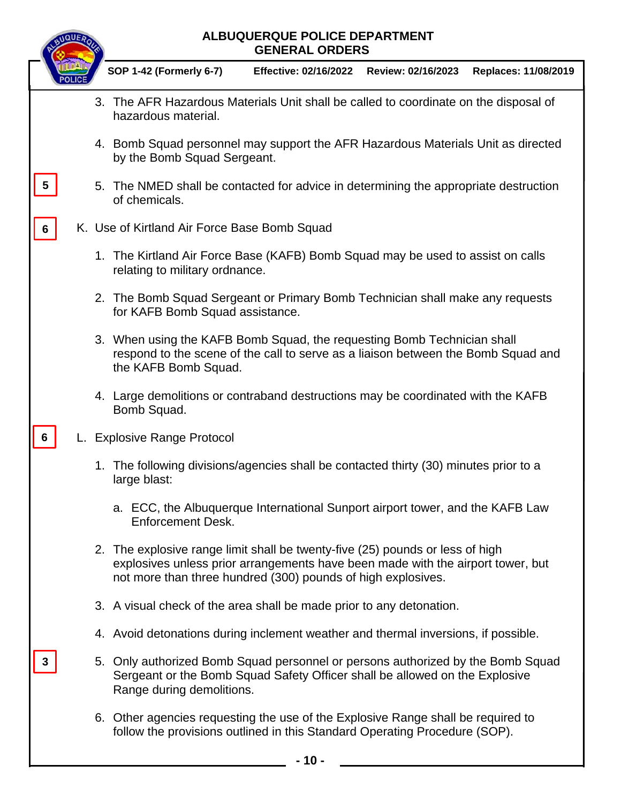|   |  | <b>ALBUQUERQUE POLICE DEPARTMENT</b><br><b>GENERAL ORDERS</b>                                                                                                                                                                    |                                             |  |                      |
|---|--|----------------------------------------------------------------------------------------------------------------------------------------------------------------------------------------------------------------------------------|---------------------------------------------|--|----------------------|
|   |  | SOP 1-42 (Formerly 6-7)                                                                                                                                                                                                          | Effective: 02/16/2022    Review: 02/16/2023 |  | Replaces: 11/08/2019 |
|   |  | 3. The AFR Hazardous Materials Unit shall be called to coordinate on the disposal of<br>hazardous material.                                                                                                                      |                                             |  |                      |
|   |  | 4. Bomb Squad personnel may support the AFR Hazardous Materials Unit as directed<br>by the Bomb Squad Sergeant.                                                                                                                  |                                             |  |                      |
| 5 |  | 5. The NMED shall be contacted for advice in determining the appropriate destruction<br>of chemicals.                                                                                                                            |                                             |  |                      |
| 6 |  | K. Use of Kirtland Air Force Base Bomb Squad                                                                                                                                                                                     |                                             |  |                      |
|   |  | 1. The Kirtland Air Force Base (KAFB) Bomb Squad may be used to assist on calls<br>relating to military ordnance.                                                                                                                |                                             |  |                      |
|   |  | 2. The Bomb Squad Sergeant or Primary Bomb Technician shall make any requests<br>for KAFB Bomb Squad assistance.                                                                                                                 |                                             |  |                      |
|   |  | 3. When using the KAFB Bomb Squad, the requesting Bomb Technician shall<br>respond to the scene of the call to serve as a liaison between the Bomb Squad and<br>the KAFB Bomb Squad.                                             |                                             |  |                      |
|   |  | 4. Large demolitions or contraband destructions may be coordinated with the KAFB<br>Bomb Squad.                                                                                                                                  |                                             |  |                      |
| 6 |  | L. Explosive Range Protocol                                                                                                                                                                                                      |                                             |  |                      |
|   |  | 1. The following divisions/agencies shall be contacted thirty (30) minutes prior to a<br>large blast:                                                                                                                            |                                             |  |                      |
|   |  | a. ECC, the Albuquerque International Sunport airport tower, and the KAFB Law<br><b>Enforcement Desk.</b>                                                                                                                        |                                             |  |                      |
|   |  | 2. The explosive range limit shall be twenty-five (25) pounds or less of high<br>explosives unless prior arrangements have been made with the airport tower, but<br>not more than three hundred (300) pounds of high explosives. |                                             |  |                      |
|   |  | 3. A visual check of the area shall be made prior to any detonation.                                                                                                                                                             |                                             |  |                      |
|   |  | 4. Avoid detonations during inclement weather and thermal inversions, if possible.                                                                                                                                               |                                             |  |                      |
| 3 |  | 5. Only authorized Bomb Squad personnel or persons authorized by the Bomb Squad<br>Sergeant or the Bomb Squad Safety Officer shall be allowed on the Explosive<br>Range during demolitions.                                      |                                             |  |                      |
|   |  | 6. Other agencies requesting the use of the Explosive Range shall be required to<br>follow the provisions outlined in this Standard Operating Procedure (SOP).                                                                   |                                             |  |                      |
|   |  |                                                                                                                                                                                                                                  | - 10 -                                      |  |                      |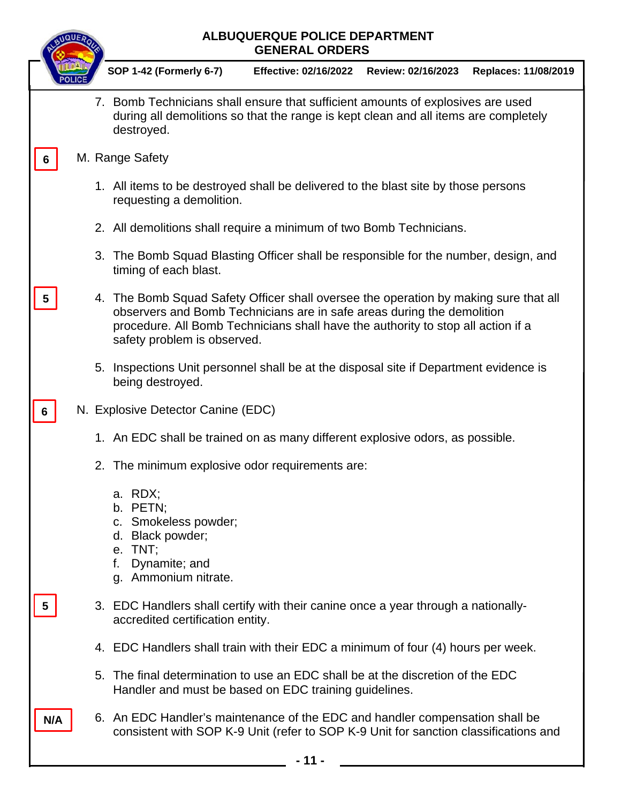|     |    | ALBUQUERQUE POLICE DEPARTMENT<br><b>GENERAL ORDERS</b>                                                                                                                                                                                                                            |
|-----|----|-----------------------------------------------------------------------------------------------------------------------------------------------------------------------------------------------------------------------------------------------------------------------------------|
|     |    | <b>SOP 1-42 (Formerly 6-7)</b><br><b>Effective: 02/16/2022</b><br>Review: 02/16/2023<br>Replaces: 11/08/2019                                                                                                                                                                      |
|     |    | 7. Bomb Technicians shall ensure that sufficient amounts of explosives are used<br>during all demolitions so that the range is kept clean and all items are completely<br>destroyed.                                                                                              |
|     |    | M. Range Safety                                                                                                                                                                                                                                                                   |
|     |    | 1. All items to be destroyed shall be delivered to the blast site by those persons<br>requesting a demolition.                                                                                                                                                                    |
|     |    | 2. All demolitions shall require a minimum of two Bomb Technicians.                                                                                                                                                                                                               |
|     |    | 3. The Bomb Squad Blasting Officer shall be responsible for the number, design, and<br>timing of each blast.                                                                                                                                                                      |
|     |    | 4. The Bomb Squad Safety Officer shall oversee the operation by making sure that all<br>observers and Bomb Technicians are in safe areas during the demolition<br>procedure. All Bomb Technicians shall have the authority to stop all action if a<br>safety problem is observed. |
|     | 5. | Inspections Unit personnel shall be at the disposal site if Department evidence is<br>being destroyed.                                                                                                                                                                            |
| 6   |    | N. Explosive Detector Canine (EDC)                                                                                                                                                                                                                                                |
|     |    | 1. An EDC shall be trained on as many different explosive odors, as possible.                                                                                                                                                                                                     |
|     |    | 2. The minimum explosive odor requirements are:                                                                                                                                                                                                                                   |
|     |    | a. RDX;<br>b. PETN;<br>c. Smokeless powder;<br>d. Black powder;<br>e. TNT;<br>Dynamite; and<br>f.<br>g. Ammonium nitrate.                                                                                                                                                         |
| 5   |    | 3. EDC Handlers shall certify with their canine once a year through a nationally-<br>accredited certification entity.                                                                                                                                                             |
|     |    | 4. EDC Handlers shall train with their EDC a minimum of four (4) hours per week.                                                                                                                                                                                                  |
|     |    | 5. The final determination to use an EDC shall be at the discretion of the EDC<br>Handler and must be based on EDC training guidelines.                                                                                                                                           |
| N/A |    | 6. An EDC Handler's maintenance of the EDC and handler compensation shall be<br>consistent with SOP K-9 Unit (refer to SOP K-9 Unit for sanction classifications and                                                                                                              |